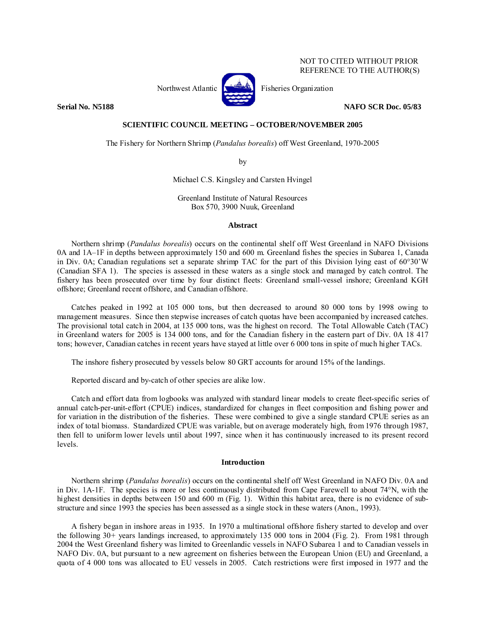# NOT TO CITED WITHOUT PRIOR REFERENCE TO THE AUTHOR(S)



Northwest Atlantic  $\left[\begin{matrix} 1 & 1 \\ 1 & 1 \end{matrix}\right]$  Fisheries Organization

**Serial No. N5188 NAFO SCR Doc. 05/83** 

# **SCIENTIFIC COUNCIL MEETING – OCTOBER/NOVEMBER 2005**

The Fishery for Northern Shrimp (*Pandalus borealis*) off West Greenland, 1970-2005

by

Michael C.S. Kingsley and Carsten Hvingel

Greenland Institute of Natural Resources Box 570, 3900 Nuuk, Greenland

## **Abstract**

Northern shrimp (*Pandalus borealis*) occurs on the continental shelf off West Greenland in NAFO Divisions 0A and 1A–1F in depths between approximately 150 and 600 m. Greenland fishes the species in Subarea 1, Canada in Div. 0A; Canadian regulations set a separate shrimp TAC for the part of this Division lying east of 60°30'W (Canadian SFA 1). The species is assessed in these waters as a single stock and managed by catch control. The fishery has been prosecuted over time by four distinct fleets: Greenland small-vessel inshore; Greenland KGH offshore; Greenland recent offshore, and Canadian offshore.

Catches peaked in 1992 at 105 000 tons, but then decreased to around 80 000 tons by 1998 owing to management measures. Since then stepwise increases of catch quotas have been accompanied by increased catches. The provisional total catch in 2004, at 135 000 tons, was the highest on record. The Total Allowable Catch (TAC) in Greenland waters for 2005 is 134 000 tons, and for the Canadian fishery in the eastern part of Div. 0A 18 417 tons; however, Canadian catches in recent years have stayed at little over 6 000 tons in spite of much higher TACs.

The inshore fishery prosecuted by vessels below 80 GRT accounts for around 15% of the landings.

Reported discard and by-catch of other species are alike low.

Catch and effort data from logbooks was analyzed with standard linear models to create fleet-specific series of annual catch-per-unit-effort (CPUE) indices, standardized for changes in fleet composition and fishing power and for variation in the distribution of the fisheries. These were combined to give a single standard CPUE series as an index of total biomass. Standardized CPUE was variable, but on average moderately high, from 1976 through 1987, then fell to uniform lower levels until about 1997, since when it has continuously increased to its present record levels.

#### **Introduction**

Northern shrimp (*Pandalus borealis*) occurs on the continental shelf off West Greenland in NAFO Div. 0A and in Div. 1A-1F. The species is more or less continuously distributed from Cape Farewell to about 74°N, with the highest densities in depths between 150 and 600 m (Fig. 1). Within this habitat area, there is no evidence of substructure and since 1993 the species has been assessed as a single stock in these waters (Anon., 1993).

A fishery began in inshore areas in 1935. In 1970 a multinational offshore fishery started to develop and over the following 30+ years landings increased, to approximately 135 000 tons in 2004 (Fig. 2). From 1981 through 2004 the West Greenland fishery was limited to Greenlandic vessels in NAFO Subarea 1 and to Canadian vessels in NAFO Div. 0A, but pursuant to a new agreement on fisheries between the European Union (EU) and Greenland, a quota of 4 000 tons was allocated to EU vessels in 2005. Catch restrictions were first imposed in 1977 and the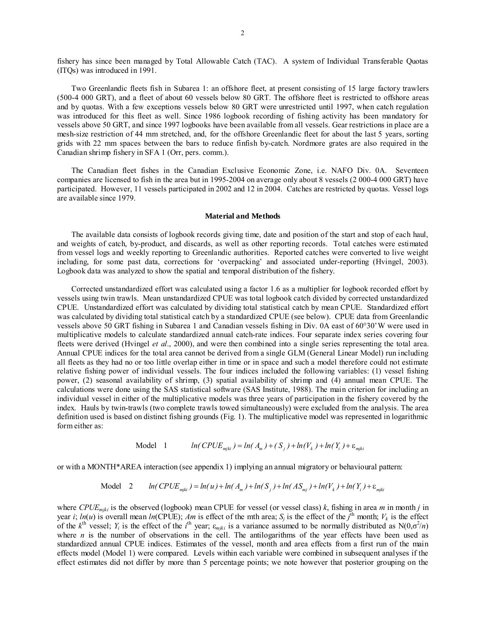fishery has since been managed by Total Allowable Catch (TAC). A system of Individual Transferable Quotas (ITQs) was introduced in 1991.

Two Greenlandic fleets fish in Subarea 1: an offshore fleet, at present consisting of 15 large factory trawlers (500-4 000 GRT), and a fleet of about 60 vessels below 80 GRT. The offshore fleet is restricted to offshore areas and by quotas. With a few exceptions vessels below 80 GRT were unrestricted until 1997, when catch regulation was introduced for this fleet as well. Since 1986 logbook recording of fishing activity has been mandatory for vessels above 50 GRT, and since 1997 logbooks have been available from all vessels. Gear restrictions in place are a mesh-size restriction of 44 mm stretched, and, for the offshore Greenlandic fleet for about the last 5 years, sorting grids with 22 mm spaces between the bars to reduce finfish by-catch. Nordmore grates are also required in the Canadian shrimp fishery in SFA 1 (Orr, pers. comm.).

The Canadian fleet fishes in the Canadian Exclusive Economic Zone, i.e. NAFO Div. 0A. Seventeen companies are licensed to fish in the area but in 1995-2004 on average only about 8 vessels (2 000-4 000 GRT) have participated. However, 11 vessels participated in 2002 and 12 in 2004. Catches are restricted by quotas. Vessel logs are available since 1979.

#### **Material and Methods**

The available data consists of logbook records giving time, date and position of the start and stop of each haul, and weights of catch, by-product, and discards, as well as other reporting records. Total catches were estimated from vessel logs and weekly reporting to Greenlandic authorities. Reported catches were converted to live weight including, for some past data, corrections for 'overpacking' and associated under-reporting (Hvingel, 2003). Logbook data was analyzed to show the spatial and temporal distribution of the fishery.

Corrected unstandardized effort was calculated using a factor 1.6 as a multiplier for logbook recorded effort by vessels using twin trawls. Mean unstandardized CPUE was total logbook catch divided by corrected unstandardized CPUE. Unstandardized effort was calculated by dividing total statistical catch by mean CPUE. Standardized effort was calculated by dividing total statistical catch by a standardized CPUE (see below). CPUE data from Greenlandic vessels above 50 GRT fishing in Subarea 1 and Canadian vessels fishing in Div. 0A east of 60°30'W were used in multiplicative models to calculate standardized annual catch-rate indices. Four separate index series covering four fleets were derived (Hvingel *et al*., 2000), and were then combined into a single series representing the total area. Annual CPUE indices for the total area cannot be derived from a single GLM (General Linear Model) run including all fleets as they had no or too little overlap either in time or in space and such a model therefore could not estimate relative fishing power of individual vessels. The four indices included the following variables: (1) vessel fishing power, (2) seasonal availability of shrimp, (3) spatial availability of shrimp and (4) annual mean CPUE. The calculations were done using the SAS statistical software (SAS Institute, 1988). The main criterion for including an individual vessel in either of the multiplicative models was three years of participation in the fishery covered by the index. Hauls by twin-trawls (two complete trawls towed simultaneously) were excluded from the analysis. The area definition used is based on distinct fishing grounds (Fig. 1). The multiplicative model was represented in logarithmic form either as:

$$
\text{Model 1} \qquad \ln(CPUE_{miki}) = \ln(A_m) + (S_i) + \ln(V_k) + \ln(Y_i) + \varepsilon_{miki}
$$

or with a MONTH\*AREA interaction (see appendix 1) implying an annual migratory or behavioural pattern:

$$
\text{Model} \quad 2 \qquad \ln(\text{CPUE}_{\text{mjki}}) = \ln(u) + \ln(A_{\text{m}}) + \ln(S_{\text{j}}) + \ln(AS_{\text{mj}}) + \ln(V_k) + \ln(Y_{\text{j}}) + \varepsilon_{\text{mjki}}
$$

where *CPUE<sub>miki</sub>* is the observed (logbook) mean CPUE for vessel (or vessel class)  $k$ , fishing in area *m* in month *j* in year *i*;  $ln(u)$  is overall mean  $ln(CPUE)$ ; *Am* is effect of the mth area; *S<sub>j</sub>* is the effect of the *j*<sup>th</sup> month;  $V_k$  is the effect of the  $k^{\text{th}}$  vessel;  $Y_i$  is the effect of the  $i^{\text{th}}$  year;  $\varepsilon_{mjki}$  is a variance assumed to be normally distributed as N(0, $\sigma^2/n$ ) where  $n$  is the number of observations in the cell. The antilogarithms of the year effects have been used as standardized annual CPUE indices. Estimates of the vessel, month and area effects from a first run of the main effects model (Model 1) were compared. Levels within each variable were combined in subsequent analyses if the effect estimates did not differ by more than 5 percentage points; we note however that posterior grouping on the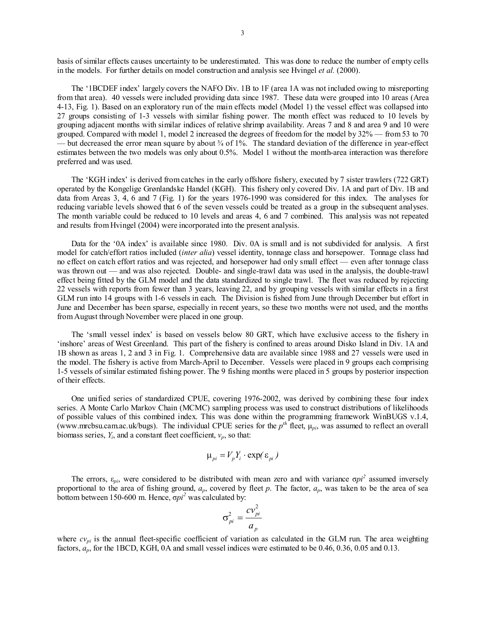basis of similar effects causes uncertainty to be underestimated. This was done to reduce the number of empty cells in the models. For further details on model construction and analysis see Hvingel *et al.* (2000).

The '1BCDEF index' largely covers the NAFO Div. 1B to 1F (area 1A was not included owing to misreporting from that area). 40 vessels were included providing data since 1987. These data were grouped into 10 areas (Area 4-13, Fig. 1). Based on an exploratory run of the main effects model (Model 1) the vessel effect was collapsed into 27 groups consisting of 1-3 vessels with similar fishing power. The month effect was reduced to 10 levels by grouping adjacent months with similar indices of relative shrimp availability. Areas 7 and 8 and area 9 and 10 were grouped. Compared with model 1, model 2 increased the degrees of freedom for the model by 32% — from 53 to 70 — but decreased the error mean square by about  $\frac{3}{4}$  of 1%. The standard deviation of the difference in year-effect estimates between the two models was only about 0.5%. Model 1 without the month-area interaction was therefore preferred and was used.

The 'KGH index' is derived from catches in the early offshore fishery, executed by 7 sister trawlers (722 GRT) operated by the Kongelige Grønlandske Handel (KGH). This fishery only covered Div. 1A and part of Div. 1B and data from Areas 3, 4, 6 and 7 (Fig. 1) for the years 1976-1990 was considered for this index. The analyses for reducing variable levels showed that 6 of the seven vessels could be treated as a group in the subsequent analyses. The month variable could be reduced to 10 levels and areas 4, 6 and 7 combined. This analysis was not repeated and results from Hvingel (2004) were incorporated into the present analysis.

Data for the '0A index' is available since 1980. Div. 0A is small and is not subdivided for analysis. A first model for catch/effort ratios included (*inter alia*) vessel identity, tonnage class and horsepower. Tonnage class had no effect on catch effort ratios and was rejected, and horsepower had only small effect — even after tonnage class was thrown out — and was also rejected. Double- and single-trawl data was used in the analysis, the double-trawl effect being fitted by the GLM model and the data standardized to single trawl. The fleet was reduced by rejecting 22 vessels with reports from fewer than 3 years, leaving 22, and by grouping vessels with similar effects in a first GLM run into 14 groups with 1-6 vessels in each. The Division is fished from June through December but effort in June and December has been sparse, especially in recent years, so these two months were not used, and the months from August through November were placed in one group.

The 'small vessel index' is based on vessels below 80 GRT, which have exclusive access to the fishery in 'inshore' areas of West Greenland. This part of the fishery is confined to areas around Disko Island in Div. 1A and 1B shown as areas 1, 2 and 3 in Fig. 1. Comprehensive data are available since 1988 and 27 vessels were used in the model. The fishery is active from March-April to December. Vessels were placed in 9 groups each comprising 1-5 vessels of similar estimated fishing power. The 9 fishing months were placed in 5 groups by posterior inspection of their effects.

One unified series of standardized CPUE, covering 1976-2002, was derived by combining these four index series. A Monte Carlo Markov Chain (MCMC) sampling process was used to construct distributions of likelihoods of possible values of this combined index. This was done within the programming framework WinBUGS v.1.4, (www.mrcbsu.cam.ac.uk/bugs). The individual CPUE series for the  $p^{th}$  fleet,  $\mu_{pi}$ , was assumed to reflect an overall biomass series,  $Y_i$ , and a constant fleet coefficient,  $v_p$ , so that:

$$
\mu_{pi} = V_p Y_i \cdot \exp(\varepsilon_{pi})
$$

The errors,  $\varepsilon_{pi}$ , were considered to be distributed with mean zero and with variance  $\sigma p i^2$  assumed inversely proportional to the area of fishing ground,  $a_p$ , covered by fleet p. The factor,  $a_p$ , was taken to be the area of sea bottom between 150-600 m. Hence, σ*pi<sup>2</sup>* was calculated by:

$$
\sigma_{pi}^2 = \frac{cv_{pi}^2}{a_p}
$$

where  $cv_{pi}$  is the annual fleet-specific coefficient of variation as calculated in the GLM run. The area weighting factors, *ap*, for the 1BCD, KGH, 0A and small vessel indices were estimated to be 0.46, 0.36, 0.05 and 0.13.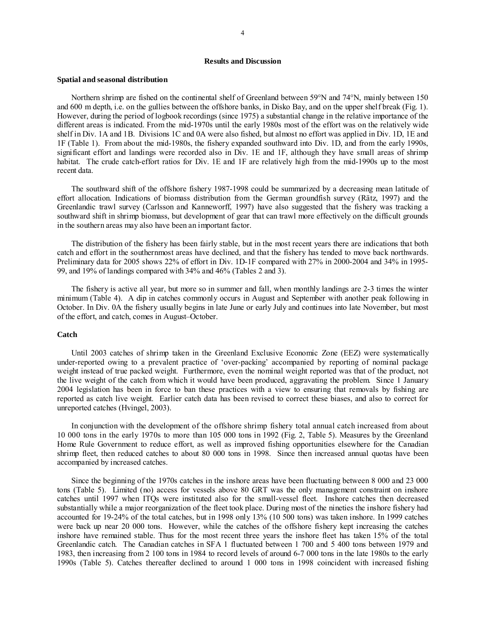## **Results and Discussion**

#### **Spatial and seasonal distribution**

Northern shrimp are fished on the continental shelf of Greenland between 59°N and 74°N, mainly between 150 and 600 m depth, i.e. on the gullies between the offshore banks, in Disko Bay, and on the upper shelf break (Fig. 1). However, during the period of logbook recordings (since 1975) a substantial change in the relative importance of the different areas is indicated. From the mid-1970s until the early 1980s most of the effort was on the relatively wide shelf in Div. 1A and 1B. Divisions 1C and 0A were also fished, but almost no effort was applied in Div. 1D, 1E and 1F (Table 1). From about the mid-1980s, the fishery expanded southward into Div. 1D, and from the early 1990s, significant effort and landings were recorded also in Div. 1E and 1F, although they have small areas of shrimp habitat. The crude catch-effort ratios for Div. 1E and 1F are relatively high from the mid-1990s up to the most recent data.

The southward shift of the offshore fishery 1987-1998 could be summarized by a decreasing mean latitude of effort allocation. Indications of biomass distribution from the German groundfish survey (Rätz, 1997) and the Greenlandic trawl survey (Carlsson and Kanneworff, 1997) have also suggested that the fishery was tracking a southward shift in shrimp biomass, but development of gear that can trawl more effectively on the difficult grounds in the southern areas may also have been an important factor.

The distribution of the fishery has been fairly stable, but in the most recent years there are indications that both catch and effort in the southernmost areas have declined, and that the fishery has tended to move back northwards. Preliminary data for 2005 shows 22% of effort in Div. 1D-1F compared with 27% in 2000-2004 and 34% in 1995- 99, and 19% of landings compared with 34% and 46% (Tables 2 and 3).

The fishery is active all year, but more so in summer and fall, when monthly landings are 2-3 times the winter minimum (Table 4). A dip in catches commonly occurs in August and September with another peak following in October. In Div. 0A the fishery usually begins in late June or early July and continues into late November, but most of the effort, and catch, comes in August–October.

# **Catch**

Until 2003 catches of shrimp taken in the Greenland Exclusive Economic Zone (EEZ) were systematically under-reported owing to a prevalent practice of 'over-packing' accompanied by reporting of nominal package weight instead of true packed weight. Furthermore, even the nominal weight reported was that of the product, not the live weight of the catch from which it would have been produced, aggravating the problem. Since 1 January 2004 legislation has been in force to ban these practices with a view to ensuring that removals by fishing are reported as catch live weight. Earlier catch data has been revised to correct these biases, and also to correct for unreported catches (Hvingel, 2003).

In conjunction with the development of the offshore shrimp fishery total annual catch increased from about 10 000 tons in the early 1970s to more than 105 000 tons in 1992 (Fig. 2, Table 5). Measures by the Greenland Home Rule Government to reduce effort, as well as improved fishing opportunities elsewhere for the Canadian shrimp fleet, then reduced catches to about 80 000 tons in 1998. Since then increased annual quotas have been accompanied by increased catches.

Since the beginning of the 1970s catches in the inshore areas have been fluctuating between 8 000 and 23 000 tons (Table 5). Limited (no) access for vessels above 80 GRT was the only management constraint on inshore catches until 1997 when ITQs were instituted also for the small-vessel fleet. Inshore catches then decreased substantially while a major reorganization of the fleet took place. During most of the nineties the inshore fishery had accounted for 19-24% of the total catches, but in 1998 only 13% (10 500 tons) was taken inshore. In 1999 catches were back up near 20 000 tons. However, while the catches of the offshore fishery kept increasing the catches inshore have remained stable. Thus for the most recent three years the inshore fleet has taken 15% of the total Greenlandic catch. The Canadian catches in SFA 1 fluctuated between 1 700 and 5 400 tons between 1979 and 1983, then increasing from 2 100 tons in 1984 to record levels of around 6-7 000 tons in the late 1980s to the early 1990s (Table 5). Catches thereafter declined to around 1 000 tons in 1998 coincident with increased fishing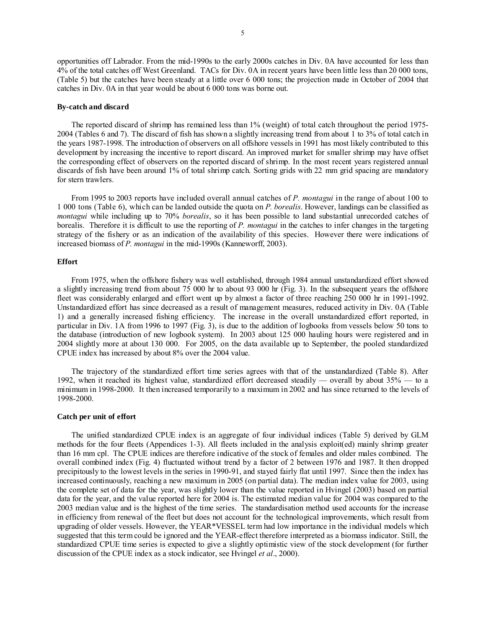opportunities off Labrador. From the mid-1990s to the early 2000s catches in Div. 0A have accounted for less than 4% of the total catches off West Greenland. TACs for Div. 0A in recent years have been little less than 20 000 tons, (Table 5) but the catches have been steady at a little over 6 000 tons; the projection made in October of 2004 that catches in Div. 0A in that year would be about 6 000 tons was borne out.

#### **By-catch and discard**

The reported discard of shrimp has remained less than 1% (weight) of total catch throughout the period 1975- 2004 (Tables 6 and 7). The discard of fish has shown a slightly increasing trend from about 1 to 3% of total catch in the years 1987-1998. The introduction of observers on all offshore vessels in 1991 has most likely contributed to this development by increasing the incentive to report discard. An improved market for smaller shrimp may have offset the corresponding effect of observers on the reported discard of shrimp. In the most recent years registered annual discards of fish have been around 1% of total shrimp catch. Sorting grids with 22 mm grid spacing are mandatory for stern trawlers.

From 1995 to 2003 reports have included overall annual catches of *P. montagui* in the range of about 100 to 1 000 tons (Table 6), which can be landed outside the quota on *P. borealis*. However, landings can be classified as *montagui* while including up to 70% *borealis*, so it has been possible to land substantial unrecorded catches of borealis. Therefore it is difficult to use the reporting of *P. montagui* in the catches to infer changes in the targeting strategy of the fishery or as an indication of the availability of this species. However there were indications of increased biomass of *P. montagui* in the mid-1990s (Kanneworff, 2003).

## **Effort**

From 1975, when the offshore fishery was well established, through 1984 annual unstandardized effort showed a slightly increasing trend from about 75 000 hr to about 93 000 hr (Fig. 3). In the subsequent years the offshore fleet was considerably enlarged and effort went up by almost a factor of three reaching 250 000 hr in 1991-1992. Unstandardized effort has since decreased as a result of management measures, reduced activity in Div. 0A (Table 1) and a generally increased fishing efficiency. The increase in the overall unstandardized effort reported, in particular in Div. 1A from 1996 to 1997 (Fig. 3), is due to the addition of logbooks from vessels below 50 tons to the database (introduction of new logbook system). In 2003 about 125 000 hauling hours were registered and in 2004 slightly more at about 130 000. For 2005, on the data available up to September, the pooled standardized CPUE index has increased by about 8% over the 2004 value.

The trajectory of the standardized effort time series agrees with that of the unstandardized (Table 8). After 1992, when it reached its highest value, standardized effort decreased steadily — overall by about 35% — to a minimum in 1998-2000. It then increased temporarily to a maximum in 2002 and has since returned to the levels of 1998-2000.

## **Catch per unit of effort**

The unified standardized CPUE index is an aggregate of four individual indices (Table 5) derived by GLM methods for the four fleets (Appendices 1-3). All fleets included in the analysis exploit(ed) mainly shrimp greater than 16 mm cpl. The CPUE indices are therefore indicative of the stock of females and older males combined. The overall combined index (Fig. 4) fluctuated without trend by a factor of 2 between 1976 and 1987. It then dropped precipitously to the lowest levels in the series in 1990-91, and stayed fairly flat until 1997. Since then the index has increased continuously, reaching a new maximum in 2005 (on partial data). The median index value for 2003, using the complete set of data for the year, was slightly lower than the value reported in Hvingel (2003) based on partial data for the year, and the value reported here for 2004 is. The estimated median value for 2004 was compared to the 2003 median value and is the highest of the time series. The standardisation method used accounts for the increase in efficiency from renewal of the fleet but does not account for the technological improvements, which result from upgrading of older vessels. However, the YEAR\*VESSEL term had low importance in the individual models which suggested that this term could be ignored and the YEAR-effect therefore interpreted as a biomass indicator. Still, the standardized CPUE time series is expected to give a slightly optimistic view of the stock development (for further discussion of the CPUE index as a stock indicator, see Hvingel *et al*., 2000).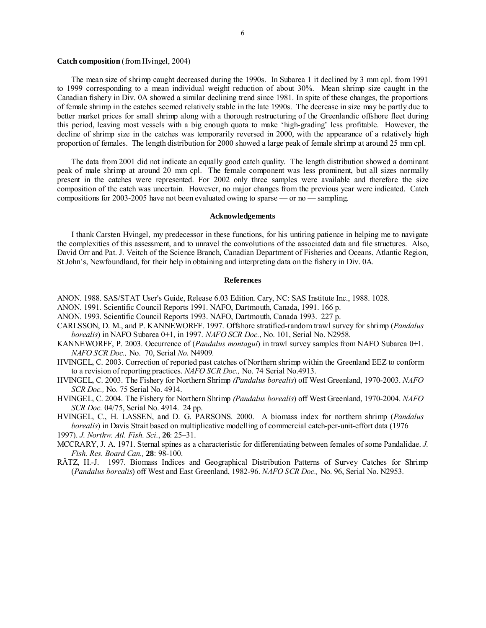# **Catch composition** (from Hvingel, 2004)

The mean size of shrimp caught decreased during the 1990s. In Subarea 1 it declined by 3 mm cpl. from 1991 to 1999 corresponding to a mean individual weight reduction of about 30%. Mean shrimp size caught in the Canadian fishery in Div. 0A showed a similar declining trend since 1981. In spite of these changes, the proportions of female shrimp in the catches seemed relatively stable in the late 1990s. The decrease in size may be partly due to better market prices for small shrimp along with a thorough restructuring of the Greenlandic offshore fleet during this period, leaving most vessels with a big enough quota to make 'high-grading' less profitable. However, the decline of shrimp size in the catches was temporarily reversed in 2000, with the appearance of a relatively high proportion of females. The length distribution for 2000 showed a large peak of female shrimp at around 25 mm cpl.

The data from 2001 did not indicate an equally good catch quality. The length distribution showed a dominant peak of male shrimp at around 20 mm cpl. The female component was less prominent, but all sizes normally present in the catches were represented. For 2002 only three samples were available and therefore the size composition of the catch was uncertain. However, no major changes from the previous year were indicated. Catch compositions for 2003-2005 have not been evaluated owing to sparse — or no — sampling.

### **Acknowledgements**

I thank Carsten Hvingel, my predecessor in these functions, for his untiring patience in helping me to navigate the complexities of this assessment, and to unravel the convolutions of the associated data and file structures. Also, David Orr and Pat. J. Veitch of the Science Branch, Canadian Department of Fisheries and Oceans, Atlantic Region, St John's, Newfoundland, for their help in obtaining and interpreting data on the fishery in Div. 0A.

#### **References**

- ANON. 1988. SAS/STAT User's Guide, Release 6.03 Edition. Cary, NC: SAS Institute Inc., 1988. 1028.
- ANON. 1991. Scientific Council Reports 1991. NAFO, Dartmouth, Canada, 1991. 166 p.
- ANON. 1993. Scientific Council Reports 1993. NAFO, Dartmouth, Canada 1993. 227 p.
- CARLSSON, D. M., and P. KANNEWORFF. 1997. Offshore stratified-random trawl survey for shrimp (*Pandalus borealis*) in NAFO Subarea 0+1, in 1997. *NAFO SCR Doc.*, No. 101, Serial No. N2958.
- KANNEWORFF, P. 2003. Occurrence of (*Pandalus montagui*) in trawl survey samples from NAFO Subarea 0+1. *NAFO SCR Doc.,* No. 70, Serial *No.* N4909*.*

HVINGEL, C. 2003. Correction of reported past catches of Northern shrimp within the Greenland EEZ to conform to a revision of reporting practices. *NAFO SCR Doc.,* No. 74 Serial No.4913.

- HVINGEL, C. 2003. The Fishery for Northern Shrimp *(Pandalus borealis*) off West Greenland, 1970-2003. *NAFO SCR Doc.,* No. 75 Serial No. 4914.
- HVINGEL, C. 2004. The Fishery for Northern Shrimp *(Pandalus borealis*) off West Greenland, 1970-2004. *NAFO SCR Doc.* 04/75, Serial No. 4914. 24 pp.

HVINGEL, C., H. LASSEN, and D. G. PARSONS. 2000. A biomass index for northern shrimp (*Pandalus borealis*) in Davis Strait based on multiplicative modelling of commercial catch-per-unit-effort data (1976

1997). *J. Northw. Atl. Fish. Sci.*, **26**: 25–31.

MCCRARY, J. A. 1971. Sternal spines as a characteristic for differentiating between females of some Pandalidae. *J. Fish. Res. Board Can.,* **28**: 98-100.

RÄTZ, H.-J. 1997. Biomass Indices and Geographical Distribution Patterns of Survey Catches for Shrimp (*Pandalus borealis*) off West and East Greenland, 1982-96. *NAFO SCR Doc.,* No. 96, Serial No. N2953.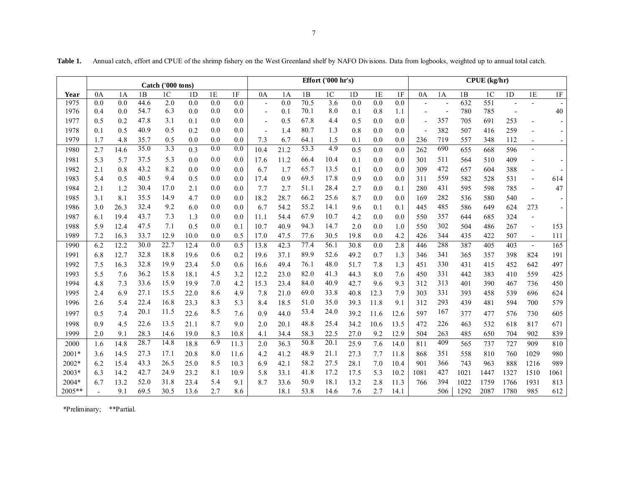٦

|         | Catch ('000 tons) |      |      |                |      |     |      | Effort $('000 hr's)$     |      |      |                | $CPUE$ (kg/hr) |      |      |                          |     |      |                |      |                          |      |
|---------|-------------------|------|------|----------------|------|-----|------|--------------------------|------|------|----------------|----------------|------|------|--------------------------|-----|------|----------------|------|--------------------------|------|
| Year    | 0A                | 1A   | 1B   | 1 <sup>C</sup> | 1D   | 1E  | 1F   | 0A                       | 1A   | 1B   | 1 <sup>C</sup> | 1 <sub>D</sub> | 1E   | 1F   | 0A                       | 1A  | 1B   | 1 <sup>C</sup> | 1D   | 1E                       | 1F   |
| 1975    | 0.0               | 0.0  | 44.6 | 2.0            | 0.0  | 0.0 | 0.0  | $\overline{\phantom{a}}$ | 0.0  | 70.5 | 3.6            | 0.0            | 0.0  | 0.0  |                          |     | 632  | 551            |      |                          |      |
| 1976    | 0.4               | 0.0  | 54.7 | 6.3            | 0.0  | 0.0 | 0.0  | $\overline{a}$           | 0.1  | 70.1 | 8.0            | 0.1            | 0.8  | 1.1  |                          |     | 780  | 785            |      |                          | 40   |
| 1977    | 0.5               | 0.2  | 47.8 | 3.1            | 0.1  | 0.0 | 0.0  | $\overline{\phantom{a}}$ | 0.5  | 67.8 | 4.4            | 0.5            | 0.0  | 0.0  | $\overline{\phantom{0}}$ | 357 | 705  | 691            | 253  | $\overline{\phantom{a}}$ |      |
| 1978    | 0.1               | 0.5  | 40.9 | 0.5            | 0.2  | 0.0 | 0.0  | $\overline{\phantom{a}}$ | 1.4  | 80.7 | 1.3            | 0.8            | 0.0  | 0.0  | $\overline{\phantom{a}}$ | 382 | 507  | 416            | 259  |                          |      |
| 1979    | 1.7               | 4.8  | 35.7 | 0.5            | 0.0  | 0.0 | 0.0  | 7.3                      | 6.7  | 64.1 | 1.5            | 0.1            | 0.0  | 0.0  | 236                      | 719 | 557  | 348            | 112  |                          |      |
| 1980    | 2.7               | 14.6 | 35.0 | 3.3            | 0.3  | 0.0 | 0.0  | 10.4                     | 21.2 | 53.3 | 4.9            | 0.5            | 0.0  | 0.0  | 262                      | 690 | 655  | 668            | 596  | $\overline{\phantom{a}}$ |      |
| 1981    | 5.3               | 5.7  | 37.5 | 5.3            | 0.0  | 0.0 | 0.0  | 17.6                     | 11.2 | 66.4 | 10.4           | 0.1            | 0.0  | 0.0  | 301                      | 511 | 564  | 510            | 409  |                          |      |
| 1982    | 2.1               | 0.8  | 43.2 | 8.2            | 0.0  | 0.0 | 0.0  | 6.7                      | 1.7  | 65.7 | 13.5           | 0.1            | 0.0  | 0.0  | 309                      | 472 | 657  | 604            | 388  | $\overline{\phantom{a}}$ |      |
| 1983    | 5.4               | 0.5  | 40.5 | 9.4            | 0.5  | 0.0 | 0.0  | 17.4                     | 0.9  | 69.5 | 17.8           | 0.9            | 0.0  | 0.0  | 311                      | 559 | 582  | 528            | 531  | $\overline{\phantom{a}}$ | 614  |
| 1984    | 2.1               | 1.2  | 30.4 | 17.0           | 2.1  | 0.0 | 0.0  | 7.7                      | 2.7  | 51.1 | 28.4           | 2.7            | 0.0  | 0.1  | 280                      | 431 | 595  | 598            | 785  | $\overline{\phantom{a}}$ | 47   |
| 1985    | 3.1               | 8.1  | 35.5 | 14.9           | 4.7  | 0.0 | 0.0  | 18.2                     | 28.7 | 66.2 | 25.6           | 8.7            | 0.0  | 0.0  | 169                      | 282 | 536  | 580            | 540  | $\overline{\phantom{a}}$ |      |
| 1986    | 3.0               | 26.3 | 32.4 | 9.2            | 6.0  | 0.0 | 0.0  | 6.7                      | 54.2 | 55.2 | 14.1           | 9.6            | 0.1  | 0.1  | 445                      | 485 | 586  | 649            | 624  | 273                      |      |
| 1987    | 6.1               | 19.4 | 43.7 | 7.3            | 1.3  | 0.0 | 0.0  | 11.1                     | 54.4 | 67.9 | 10.7           | 4.2            | 0.0  | 0.0  | 550                      | 357 | 644  | 685            | 324  | $\overline{\phantom{a}}$ |      |
| 1988    | 5.9               | 12.4 | 47.5 | 7.1            | 0.5  | 0.0 | 0.1  | 10.7                     | 40.9 | 94.3 | 14.7           | 2.0            | 0.0  | 1.0  | 550                      | 302 | 504  | 486            | 267  | $\overline{\phantom{a}}$ | 153  |
| 1989    | 7.2               | 16.3 | 33.7 | 12.9           | 10.0 | 0.0 | 0.5  | 17.0                     | 47.5 | 77.6 | 30.5           | 19.8           | 0.0  | 4.2  | 426                      | 344 | 435  | 422            | 507  | $\sim$                   | 111  |
| 1990    | 6.2               | 12.2 | 30.0 | 22.7           | 12.4 | 0.0 | 0.5  | 13.8                     | 42.3 | 77.4 | 56.1           | 30.8           | 0.0  | 2.8  | 446                      | 288 | 387  | 405            | 403  | $\sim$                   | 165  |
| 1991    | 6.8               | 12.7 | 32.8 | 18.8           | 19.6 | 0.6 | 0.2  | 19.6                     | 37.1 | 89.9 | 52.6           | 49.2           | 0.7  | 1.3  | 346                      | 341 | 365  | 357            | 398  | 824                      | 191  |
| 1992    | 7.5               | 16.3 | 32.8 | 19.9           | 23.4 | 5.0 | 0.6  | 16.6                     | 49.4 | 76.1 | 48.0           | 51.7           | 7.8  | 1.3  | 451                      | 330 | 431  | 415            | 452  | 642                      | 497  |
| 1993    | 5.5               | 7.6  | 36.2 | 15.8           | 18.1 | 4.5 | 3.2  | 12.2                     | 23.0 | 82.0 | 41.3           | 44.3           | 8.0  | 7.6  | 450                      | 331 | 442  | 383            | 410  | 559                      | 425  |
| 1994    | 4.8               | 7.3  | 33.6 | 15.9           | 19.9 | 7.0 | 4.2  | 15.3                     | 23.4 | 84.0 | 40.9           | 42.7           | 9.6  | 9.3  | 312                      | 313 | 401  | 390            | 467  | 736                      | 450  |
| 1995    | 2.4               | 6.9  | 27.1 | 15.5           | 22.0 | 8.6 | 4.9  | 7.8                      | 21.0 | 69.0 | 33.8           | 40.8           | 12.3 | 7.9  | 303                      | 331 | 393  | 458            | 539  | 696                      | 624  |
| 1996    | 2.6               | 5.4  | 22.4 | 16.8           | 23.3 | 8.3 | 5.3  | 8.4                      | 18.5 | 51.0 | 35.0           | 39.3           | 11.8 | 9.1  | 312                      | 293 | 439  | 481            | 594  | 700                      | 579  |
| 1997    | 0.5               | 7.4  | 20.1 | 11.5           | 22.6 | 8.5 | 7.6  | 0.9                      | 44.0 | 53.4 | 24.0           | 39.2           | 11.6 | 12.6 | 597                      | 167 | 377  | 477            | 576  | 730                      | 605  |
| 1998    | 0.9               | 4.5  | 22.6 | 13.5           | 21.1 | 8.7 | 9.0  | 2.0                      | 20.1 | 48.8 | 25.4           | 34.2           | 10.6 | 13.5 | 472                      | 226 | 463  | 532            | 618  | 817                      | 671  |
| 1999    | 2.0               | 9.1  | 28.3 | 14.6           | 19.0 | 8.3 | 10.8 | 4.1                      | 34.4 | 58.3 | 22.5           | 27.0           | 9.2  | 12.9 | 504                      | 263 | 485  | 650            | 704  | 902                      | 839  |
| 2000    | 1.6               | 14.8 | 28.7 | 14.8           | 18.8 | 6.9 | 11.3 | 2.0                      | 36.3 | 50.8 | 20.1           | 25.9           | 7.6  | 14.0 | 811                      | 409 | 565  | 737            | 727  | 909                      | 810  |
| $2001*$ | 3.6               | 14.5 | 27.3 | 17.1           | 20.8 | 8.0 | 11.6 | 4.2                      | 41.2 | 48.9 | 21.1           | 27.3           | 7.7  | 11.8 | 868                      | 351 | 558  | 810            | 760  | 1029                     | 980  |
| $2002*$ | 6.2               | 15.4 | 43.3 | 26.5           | 25.0 | 8.5 | 10.3 | 6.9                      | 42.1 | 58.2 | 27.5           | 28.1           | 7.0  | 10.4 | 901                      | 366 | 743  | 963            | 888  | 1216                     | 989  |
| $2003*$ | 6.3               | 14.2 | 42.7 | 24.9           | 23.2 | 8.1 | 10.9 | 5.8                      | 33.1 | 41.8 | 17.2           | 17.5           | 5.3  | 10.2 | 1081                     | 427 | 1021 | 1447           | 1327 | 1510                     | 1061 |
| 2004*   | 6.7               | 13.2 | 52.0 | 31.8           | 23.4 | 5.4 | 9.1  | 8.7                      | 33.6 | 50.9 | 18.1           | 13.2           | 2.8  | 11.3 | 766                      | 394 | 1022 | 1759           | 1766 | 1931                     | 813  |

2005\*\* - 9.1 69.5 30.5 13.6 2.7 8.6 18.1 53.8 14.6 7.6 2.7 14.1 506 1292 2087 1780 985 612

**Table 1.** Annual catch, effort and CPUE of the shrimp fishery on the West Greenland shelf by NAFO Divisions. Data from logbooks, weighted up to annual total catch.

\*Preliminary; \*\*Partial.

┍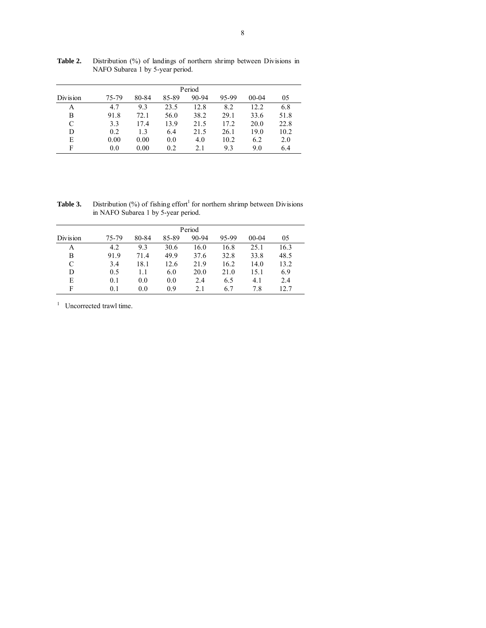| Period   |       |       |       |       |       |           |      |  |  |  |
|----------|-------|-------|-------|-------|-------|-----------|------|--|--|--|
| Division | 75-79 | 80-84 | 85-89 | 90-94 | 95-99 | $00 - 04$ | 05   |  |  |  |
| Α        | 4.7   | 9.3   | 23.5  | 12.8  | 8.2   | 12.2      | 6.8  |  |  |  |
| B        | 91.8  | 72.1  | 56.0  | 38.2  | 29.1  | 33.6      | 51.8 |  |  |  |
| C        | 3.3   | 17.4  | 13.9  | 21.5  | 17.2  | 20.0      | 22.8 |  |  |  |
| D        | 0.2   | 1.3   | 6.4   | 21.5  | 26.1  | 19.0      | 10.2 |  |  |  |
| E        | 0.00  | 0.00  | 0.0   | 4.0   | 10.2  | 6.2       | 2.0  |  |  |  |
| F        | 0.0   | 0.00  | 0.2   | 2.1   | 9.3   | 9.0       | 6.4  |  |  |  |

Table 2. Distribution (%) of landings of northern shrimp between Divisions in NAFO Subarea 1 by 5-year period.

**Table 3.** Distribution  $\left(\frac{9}{6}\right)$  of fishing effort<sup>1</sup> for northern shrimp between Divisions in NAFO Subarea 1 by 5-year period.

|          |       |       |       | Period |       |           |      |
|----------|-------|-------|-------|--------|-------|-----------|------|
| Division | 75-79 | 80-84 | 85-89 | 90-94  | 95-99 | $00 - 04$ | 05   |
| Α        | 4.2   | 9.3   | 30.6  | 16.0   | 16.8  | 25.1      | 16.3 |
| B        | 91.9  | 71.4  | 49.9  | 37.6   | 32.8  | 33.8      | 48.5 |
| C        | 3.4   | 18.1  | 12.6  | 21.9   | 16.2  | 14.0      | 13.2 |
| D        | 0.5   | 1.1   | 6.0   | 20.0   | 21.0  | 15.1      | 6.9  |
| E        | 0.1   | 0.0   | 0.0   | 2.4    | 6.5   | 4.1       | 2.4  |
| F        | 0.1   | 0.0   | 0.9   | 2.1    | 6.7   | 7.8       | 12.7 |

<sup>1</sup> Uncorrected trawl time.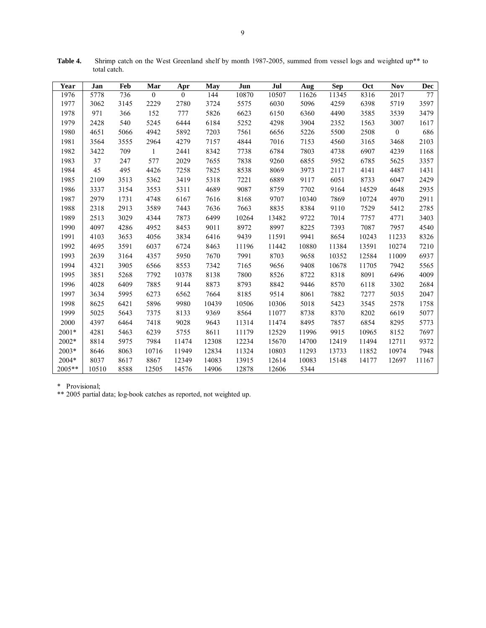| Year   | Jan   | Feb  | Mar          | Apr            | <b>May</b> | Jun   | Jul   | Aug   | <b>Sep</b> | Oct   | <b>Nov</b>       | Dec   |
|--------|-------|------|--------------|----------------|------------|-------|-------|-------|------------|-------|------------------|-------|
| 1976   | 5778  | 736  | $\mathbf{0}$ | $\overline{0}$ | 144        | 10870 | 10507 | 11626 | 11345      | 8316  | 2017             | 77    |
| 1977   | 3062  | 3145 | 2229         | 2780           | 3724       | 5575  | 6030  | 5096  | 4259       | 6398  | 5719             | 3597  |
| 1978   | 971   | 366  | 152          | 777            | 5826       | 6623  | 6150  | 6360  | 4490       | 3585  | 3539             | 3479  |
| 1979   | 2428  | 540  | 5245         | 6444           | 6184       | 5252  | 4298  | 3904  | 2352       | 1563  | 3007             | 1617  |
| 1980   | 4651  | 5066 | 4942         | 5892           | 7203       | 7561  | 6656  | 5226  | 5500       | 2508  | $\boldsymbol{0}$ | 686   |
| 1981   | 3564  | 3555 | 2964         | 4279           | 7157       | 4844  | 7016  | 7153  | 4560       | 3165  | 3468             | 2103  |
| 1982   | 3422  | 709  | $\mathbf{1}$ | 2441           | 8342       | 7738  | 6784  | 7803  | 4738       | 6907  | 4239             | 1168  |
| 1983   | 37    | 247  | 577          | 2029           | 7655       | 7838  | 9260  | 6855  | 5952       | 6785  | 5625             | 3357  |
| 1984   | 45    | 495  | 4426         | 7258           | 7825       | 8538  | 8069  | 3973  | 2117       | 4141  | 4487             | 1431  |
| 1985   | 2109  | 3513 | 5362         | 3419           | 5318       | 7221  | 6889  | 9117  | 6051       | 8733  | 6047             | 2429  |
| 1986   | 3337  | 3154 | 3553         | 5311           | 4689       | 9087  | 8759  | 7702  | 9164       | 14529 | 4648             | 2935  |
| 1987   | 2979  | 1731 | 4748         | 6167           | 7616       | 8168  | 9707  | 10340 | 7869       | 10724 | 4970             | 2911  |
| 1988   | 2318  | 2913 | 3589         | 7443           | 7636       | 7663  | 8835  | 8384  | 9110       | 7529  | 5412             | 2785  |
| 1989   | 2513  | 3029 | 4344         | 7873           | 6499       | 10264 | 13482 | 9722  | 7014       | 7757  | 4771             | 3403  |
| 1990   | 4097  | 4286 | 4952         | 8453           | 9011       | 8972  | 8997  | 8225  | 7393       | 7087  | 7957             | 4540  |
| 1991   | 4103  | 3653 | 4056         | 3834           | 6416       | 9439  | 11591 | 9941  | 8654       | 10243 | 11233            | 8326  |
| 1992   | 4695  | 3591 | 6037         | 6724           | 8463       | 11196 | 11442 | 10880 | 11384      | 13591 | 10274            | 7210  |
| 1993   | 2639  | 3164 | 4357         | 5950           | 7670       | 7991  | 8703  | 9658  | 10352      | 12584 | 11009            | 6937  |
| 1994   | 4321  | 3905 | 6566         | 8553           | 7342       | 7165  | 9656  | 9408  | 10678      | 11705 | 7942             | 5565  |
| 1995   | 3851  | 5268 | 7792         | 10378          | 8138       | 7800  | 8526  | 8722  | 8318       | 8091  | 6496             | 4009  |
| 1996   | 4028  | 6409 | 7885         | 9144           | 8873       | 8793  | 8842  | 9446  | 8570       | 6118  | 3302             | 2684  |
| 1997   | 3634  | 5995 | 6273         | 6562           | 7664       | 8185  | 9514  | 8061  | 7882       | 7277  | 5035             | 2047  |
| 1998   | 8625  | 6421 | 5896         | 9980           | 10439      | 10506 | 10306 | 5018  | 5423       | 3545  | 2578             | 1758  |
| 1999   | 5025  | 5643 | 7375         | 8133           | 9369       | 8564  | 11077 | 8738  | 8370       | 8202  | 6619             | 5077  |
| 2000   | 4397  | 6464 | 7418         | 9028           | 9643       | 11314 | 11474 | 8495  | 7857       | 6854  | 8295             | 5773  |
| 2001*  | 4281  | 5463 | 6239         | 5755           | 8611       | 11179 | 12529 | 11996 | 9915       | 10965 | 8152             | 7697  |
| 2002*  | 8814  | 5975 | 7984         | 11474          | 12308      | 12234 | 15670 | 14700 | 12419      | 11494 | 12711            | 9372  |
| 2003*  | 8646  | 8063 | 10716        | 11949          | 12834      | 11324 | 10803 | 11293 | 13733      | 11852 | 10974            | 7948  |
| 2004*  | 8037  | 8617 | 8867         | 12349          | 14083      | 13915 | 12614 | 10083 | 15148      | 14177 | 12697            | 11167 |
| 2005** | 10510 | 8588 | 12505        | 14576          | 14906      | 12878 | 12606 | 5344  |            |       |                  |       |

Table 4. Shrimp catch on the West Greenland shelf by month 1987-2005, summed from vessel logs and weighted up<sup>\*\*</sup> to total catch.

\* Provisional;

\*\* 2005 partial data; log-book catches as reported, not weighted up.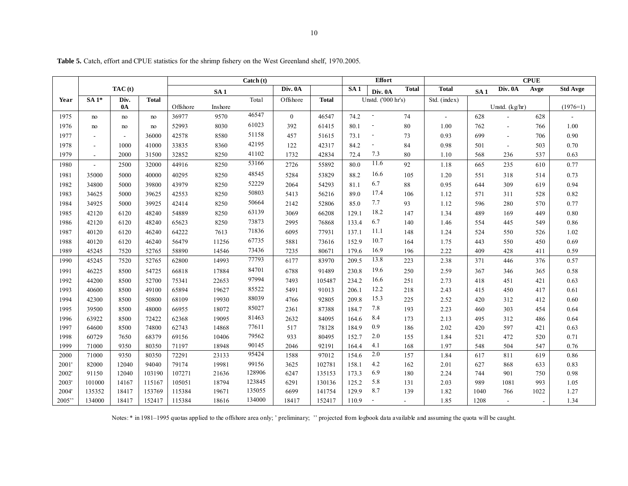|  | <b>Table 5.</b> Catch, effort and CPUE statistics for the shrimp fishery on the West Greenland shelf, 1970.2005. |  |  |
|--|------------------------------------------------------------------------------------------------------------------|--|--|
|--|------------------------------------------------------------------------------------------------------------------|--|--|

|       |                          |                          |              |          |                 | Catch (t) |          |              |       | <b>Effort</b>            |                |                           |                 |                          | <b>CPUE</b>    |                 |
|-------|--------------------------|--------------------------|--------------|----------|-----------------|-----------|----------|--------------|-------|--------------------------|----------------|---------------------------|-----------------|--------------------------|----------------|-----------------|
|       |                          | TAC(t)                   |              |          | SA <sub>1</sub> |           | Div. 0A  |              | SA1   | Div. 0A                  | <b>Total</b>   | <b>Total</b>              | SA <sub>1</sub> | Div. 0A                  | Avge           | <b>Std Avge</b> |
| Year  | $SA1*$                   | Div.                     | <b>Total</b> |          |                 | Total     | Offshore | <b>Total</b> |       | Unstd. ('000 hr's)       |                | $\overline{Std.}$ (index) |                 |                          |                |                 |
|       |                          | <b>0A</b>                |              | Offshore | Inshore         | 46547     |          |              |       |                          |                |                           |                 | Unstd. (kg/hr)           |                | $(1976=1)$      |
| 1975  | no                       | no                       | no           | 36977    | 9570            |           | $\theta$ | 46547        | 74.2  | $\overline{\phantom{a}}$ | 74             | $\blacksquare$            | 628             |                          | 628            |                 |
| 1976  | no                       | no                       | no           | 52993    | 8030            | 61023     | 392      | 61415        | 80.1  | $\overline{\phantom{a}}$ | 80             | 1.00                      | 762             | $\overline{\phantom{a}}$ | 766            | 1.00            |
| 1977  | $\overline{\phantom{a}}$ | $\overline{\phantom{a}}$ | 36000        | 42578    | 8580            | 51158     | 457      | 51615        | 73.1  | $\overline{\phantom{a}}$ | 73             | 0.93                      | 699             | $\blacksquare$           | 706            | 0.90            |
| 1978  | $\overline{\phantom{a}}$ | 1000                     | 41000        | 33835    | 8360            | 42195     | 122      | 42317        | 84.2  | $\overline{\phantom{a}}$ | 84             | 0.98                      | 501             | $\blacksquare$           | 503            | 0.70            |
| 1979  |                          | 2000                     | 31500        | 32852    | 8250            | 41102     | 1732     | 42834        | 72.4  | 7.3                      | 80             | 1.10                      | 568             | 236                      | 537            | 0.63            |
| 1980  | $\blacksquare$           | 2500                     | 32000        | 44916    | 8250            | 53166     | 2726     | 55892        | 80.0  | 11.6                     | 92             | 1.18                      | 665             | 235                      | 610            | 0.77            |
| 1981  | 35000                    | 5000                     | 40000        | 40295    | 8250            | 48545     | 5284     | 53829        | 88.2  | 16.6                     | 105            | 1.20                      | 551             | 318                      | 514            | 0.73            |
| 1982  | 34800                    | 5000                     | 39800        | 43979    | 8250            | 52229     | 2064     | 54293        | 81.1  | 6.7                      | 88             | 0.95                      | 644             | 309                      | 619            | 0.94            |
| 1983  | 34625                    | 5000                     | 39625        | 42553    | 8250            | 50803     | 5413     | 56216        | 89.0  | 17.4                     | 106            | 1.12                      | 571             | 311                      | 528            | 0.82            |
| 1984  | 34925                    | 5000                     | 39925        | 42414    | 8250            | 50664     | 2142     | 52806        | 85.0  | 7.7                      | 93             | 1.12                      | 596             | 280                      | 570            | 0.77            |
| 1985  | 42120                    | 6120                     | 48240        | 54889    | 8250            | 63139     | 3069     | 66208        | 129.1 | 18.2                     | 147            | 1.34                      | 489             | 169                      | 449            | $0.80\,$        |
| 1986  | 42120                    | 6120                     | 48240        | 65623    | 8250            | 73873     | 2995     | 76868        | 133.4 | 6.7                      | 140            | 1.46                      | 554             | 445                      | 549            | 0.86            |
| 1987  | 40120                    | 6120                     | 46240        | 64222    | 7613            | 71836     | 6095     | 77931        | 137.1 | 11.1                     | 148            | 1.24                      | 524             | 550                      | 526            | 1.02            |
| 1988  | 40120                    | 6120                     | 46240        | 56479    | 11256           | 67735     | 5881     | 73616        | 152.9 | 10.7                     | 164            | 1.75                      | 443             | 550                      | 450            | 0.69            |
| 1989  | 45245                    | 7520                     | 52765        | 58890    | 14546           | 73436     | 7235     | 80671        | 179.6 | 16.9                     | 196            | 2.22                      | 409             | 428                      | 411            | 0.59            |
| 1990  | 45245                    | 7520                     | 52765        | 62800    | 14993           | 77793     | 6177     | 83970        | 209.5 | 13.8                     | 223            | 2.38                      | 371             | 446                      | 376            | 0.57            |
| 1991  | 46225                    | 8500                     | 54725        | 66818    | 17884           | 84701     | 6788     | 91489        | 230.8 | 19.6                     | 250            | 2.59                      | 367             | 346                      | 365            | 0.58            |
| 1992  | 44200                    | 8500                     | 52700        | 75341    | 22653           | 97994     | 7493     | 105487       | 234.2 | 16.6                     | 251            | 2.73                      | 418             | 451                      | 421            | 0.63            |
| 1993  | 40600                    | 8500                     | 49100        | 65894    | 19627           | 85522     | 5491     | 91013        | 206.1 | 12.2                     | 218            | 2.43                      | 415             | 450                      | 417            | 0.61            |
| 1994  | 42300                    | 8500                     | 50800        | 68109    | 19930           | 88039     | 4766     | 92805        | 209.8 | 15.3                     | 225            | 2.52                      | 420             | 312                      | 412            | 0.60            |
| 1995  | 39500                    | 8500                     | 48000        | 66955    | 18072           | 85027     | 2361     | 87388        | 184.7 | 7.8                      | 193            | 2.23                      | 460             | 303                      | 454            | 0.64            |
| 1996  | 63922                    | 8500                     | 72422        | 62368    | 19095           | 81463     | 2632     | 84095        | 164.6 | 8.4                      | 173            | 2.13                      | 495             | 312                      | 486            | 0.64            |
| 1997  | 64600                    | 8500                     | 74800        | 62743    | 14868           | 77611     | 517      | 78128        | 184.9 | 0.9                      | 186            | 2.02                      | 420             | 597                      | 421            | 0.63            |
| 1998  | 60729                    | 7650                     | 68379        | 69156    | 10406           | 79562     | 933      | 80495        | 152.7 | 2.0                      | 155            | 1.84                      | 521             | 472                      | 520            | 0.71            |
| 1999  | 71000                    | 9350                     | 80350        | 71197    | 18948           | 90145     | 2046     | 92191        | 164.4 | 4.1                      | 168            | 1.97                      | 548             | 504                      | 547            | 0.76            |
| 2000  | 71000                    | 9350                     | 80350        | 72291    | 23133           | 95424     | 1588     | 97012        | 154.6 | 2.0                      | 157            | 1.84                      | 617             | 811                      | 619            | 0.86            |
| 2001' | 82000                    | 12040                    | 94040        | 79174    | 19981           | 99156     | 3625     | 102781       | 158.1 | 4.2                      | 162            | 2.01                      | 627             | 868                      | 633            | 0.83            |
| 2002  | 91150                    | 12040                    | 103190       | 107271   | 21636           | 128906    | 6247     | 135153       | 173.3 | 6.9                      | 180            | 2.24                      | 744             | 901                      | 750            | 0.98            |
| 2003' | 101000                   | 14167                    | 115167       | 105051   | 18794           | 123845    | 6291     | 130136       | 125.2 | 5.8                      | 131            | 2.03                      | 989             | 1081                     | 993            | 1.05            |
| 2004' | 135352                   | 18417                    | 153769       | 115384   | 19671           | 135055    | 6699     | 141754       | 129.9 | 8.7                      | 139            | 1.82                      | 1040            | 766                      | 1022           | 1.27            |
| 2005" | 134000                   | 18417                    | 152417       | 115384   | 18616           | 134000    | 18417    | 152417       | 110.9 | $\blacksquare$           | $\blacksquare$ | 1.85                      | 1208            | $\blacksquare$           | $\blacksquare$ | 1.34            |

Notes: \* in 1981–1995 quotas applied to the offshore area only; ' preliminary; '' projected from logbook data available and assuming the quota will be caught.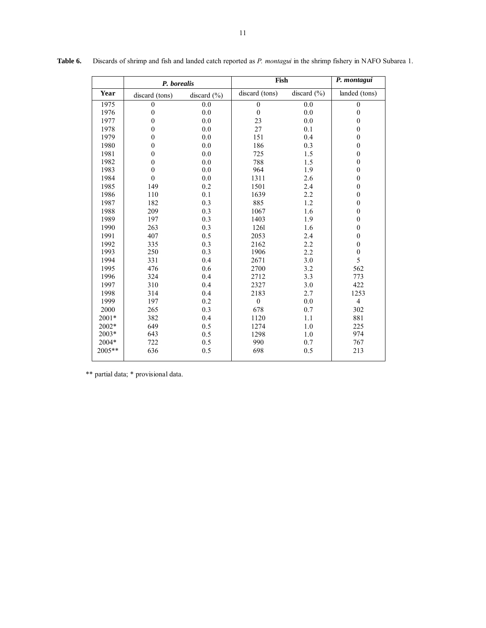|             | P. borealis    |                 | Fish             |             | P. montagui      |
|-------------|----------------|-----------------|------------------|-------------|------------------|
| <b>Year</b> | discard (tons) | discard $(\% )$ | discard (tons)   | discard (%) | landed (tons)    |
| 1975        | $\theta$       | 0.0             | $\mathbf{0}$     | 0.0         | $\mathbf{0}$     |
| 1976        | $\theta$       | 0.0             | $\boldsymbol{0}$ | 0.0         | $\boldsymbol{0}$ |
| 1977        | $\theta$       | 0.0             | 23               | 0.0         | $\boldsymbol{0}$ |
| 1978        | $\theta$       | 0.0             | 27               | 0.1         | $\boldsymbol{0}$ |
| 1979        | $\theta$       | 0.0             | 151              | 0.4         | $\boldsymbol{0}$ |
| 1980        | $\theta$       | 0.0             | 186              | 0.3         | $\boldsymbol{0}$ |
| 1981        | $\theta$       | 0.0             | 725              | 1.5         | $\boldsymbol{0}$ |
| 1982        | $\mathbf{0}$   | 0.0             | 788              | 1.5         | $\boldsymbol{0}$ |
| 1983        | $\theta$       | 0.0             | 964              | 1.9         | $\boldsymbol{0}$ |
| 1984        | $\mathbf{0}$   | 0.0             | 1311             | 2.6         | $\boldsymbol{0}$ |
| 1985        | 149            | 0.2             | 1501             | 2.4         | $\boldsymbol{0}$ |
| 1986        | 110            | 0.1             | 1639             | 2.2         | $\boldsymbol{0}$ |
| 1987        | 182            | 0.3             | 885              | 1.2         | $\boldsymbol{0}$ |
| 1988        | 209            | 0.3             | 1067             | 1.6         | $\boldsymbol{0}$ |
| 1989        | 197            | 0.3             | 1403             | 1.9         | $\boldsymbol{0}$ |
| 1990        | 263            | 0.3             | 1261             | 1.6         | $\boldsymbol{0}$ |
| 1991        | 407            | 0.5             | 2053             | 2.4         | $\boldsymbol{0}$ |
| 1992        | 335            | 0.3             | 2162             | 2.2         | $\boldsymbol{0}$ |
| 1993        | 250            | 0.3             | 1906             | 2.2         | $\boldsymbol{0}$ |
| 1994        | 331            | 0.4             | 2671             | 3.0         | 5                |
| 1995        | 476            | 0.6             | 2700             | 3.2         | 562              |
| 1996        | 324            | 0.4             | 2712             | 3.3         | 773              |
| 1997        | 310            | 0.4             | 2327             | 3.0         | 422              |
| 1998        | 314            | 0.4             | 2183             | 2.7         | 1253             |
| 1999        | 197            | 0.2             | $\mathbf{0}$     | 0.0         | $\overline{4}$   |
| 2000        | 265            | 0.3             | 678              | 0.7         | 302              |
| $2001*$     | 382            | 0.4             | 1120             | 1.1         | 881              |
| 2002*       | 649            | 0.5             | 1274             | 1.0         | 225              |
| $2003*$     | 643            | 0.5             | 1298             | 1.0         | 974              |
| $2004*$     | 722            | 0.5             | 990              | 0.7         | 767              |
| 2005**      | 636            | 0.5             | 698              | 0.5         | 213              |

**Table 6.** Discards of shrimp and fish and landed catch reported as *P. montagui* in the shrimp fishery in NAFO Subarea 1.

\*\* partial data; \* provisional data.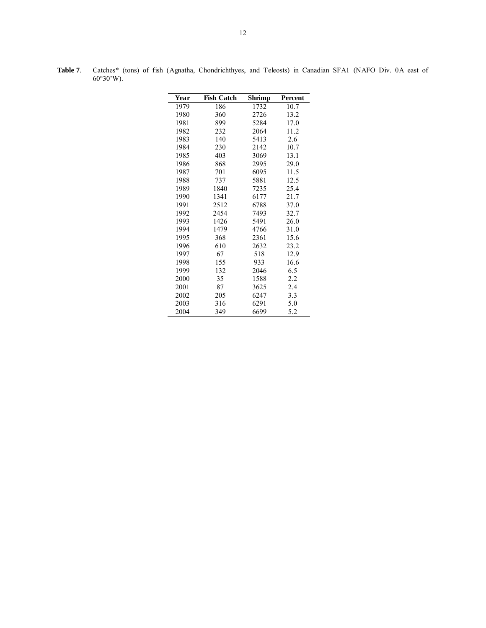| Year | <b>Fish Catch</b> | $\overline{\mathbf{Shrimp}}$ | <b>Percent</b>    |
|------|-------------------|------------------------------|-------------------|
| 1979 | 186               | 1732                         | $10.\overline{7}$ |
| 1980 | 360               | 2726                         | 13.2              |
| 1981 | 899               | 5284                         | 17.0              |
| 1982 | 232               | 2064                         | 11.2              |
| 1983 | 140               | 5413                         | 2.6               |
| 1984 | 230               | 2142                         | 10.7              |
| 1985 | 403               | 3069                         | 13.1              |
| 1986 | 868               | 2995                         | 29.0              |
| 1987 | 701               | 6095                         | 11.5              |
| 1988 | 737               | 5881                         | 12.5              |
| 1989 | 1840              | 7235                         | 25.4              |
| 1990 | 1341              | 6177                         | 21.7              |
| 1991 | 2512              | 6788                         | 37.0              |
| 1992 | 2454              | 7493                         | 32.7              |
| 1993 | 1426              | 5491                         | 26.0              |
| 1994 | 1479              | 4766                         | 31.0              |
| 1995 | 368               | 2361                         | 15.6              |
| 1996 | 610               | 2632                         | 23.2              |
| 1997 | 67                | 518                          | 12.9              |
| 1998 | 155               | 933                          | 16.6              |
| 1999 | 132               | 2046                         | 6.5               |
| 2000 | 35                | 1588                         | 2.2               |
| 2001 | 87                | 3625                         | 2.4               |
| 2002 | 205               | 6247                         | 3.3               |
| 2003 | 316               | 6291                         | 5.0               |
| 2004 | 349               | 6699                         | 5.2               |

**Table 7**. Catches\* (tons) of fish (Agnatha, Chondrichthyes, and Teleosts) in Canadian SFA1 (NAFO Div. 0A east of  $60^{\circ}30^{\circ}$ W).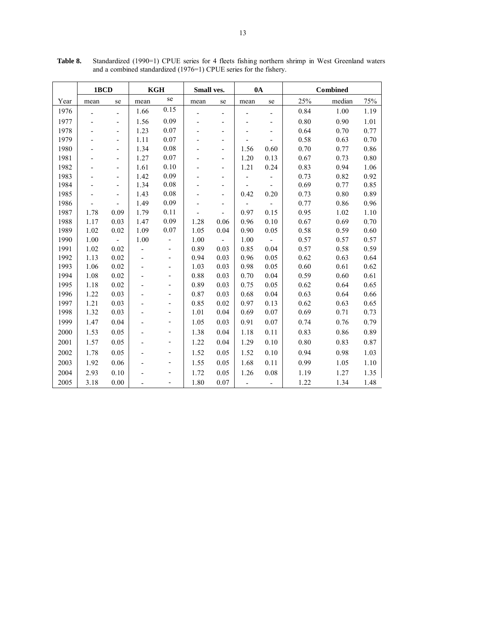|      | 1BCD |                          | <b>KGH</b> |      | Small ves. |                              | 0A                       |                          |      | <b>Combined</b> |      |
|------|------|--------------------------|------------|------|------------|------------------------------|--------------------------|--------------------------|------|-----------------|------|
| Year | mean | se                       | mean       | se   | mean       | se                           | mean                     | se                       | 25%  | median          | 75%  |
| 1976 |      |                          | 1.66       | 0.15 |            |                              |                          |                          | 0.84 | 1.00            | 1.19 |
| 1977 |      | $\overline{a}$           | 1.56       | 0.09 |            | ÷                            |                          | $\overline{\phantom{m}}$ | 0.80 | 0.90            | 1.01 |
| 1978 |      | -                        | 1.23       | 0.07 |            | $\overline{\phantom{a}}$     |                          | $\overline{\phantom{a}}$ | 0.64 | 0.70            | 0.77 |
| 1979 |      | $\overline{a}$           | 1.11       | 0.07 |            | ٠                            |                          |                          | 0.58 | 0.63            | 0.70 |
| 1980 |      |                          | 1.34       | 0.08 |            | ÷                            | 1.56                     | 0.60                     | 0.70 | 0.77            | 0.86 |
| 1981 |      |                          | 1.27       | 0.07 |            | L,                           | 1.20                     | 0.13                     | 0.67 | 0.73            | 0.80 |
| 1982 |      | $\overline{\phantom{0}}$ | 1.61       | 0.10 |            | $\overline{a}$               | 1.21                     | 0.24                     | 0.83 | 0.94            | 1.06 |
| 1983 |      | $\overline{\phantom{0}}$ | 1.42       | 0.09 |            | $\overline{\phantom{0}}$     |                          |                          | 0.73 | 0.82            | 0.92 |
| 1984 |      | $\overline{\phantom{0}}$ | 1.34       | 0.08 |            | ÷,                           | $\overline{a}$           |                          | 0.69 | 0.77            | 0.85 |
| 1985 |      | $\overline{a}$           | 1.43       | 0.08 |            | $\overline{\phantom{m}}$     | 0.42                     | 0.20                     | 0.73 | 0.80            | 0.89 |
| 1986 |      |                          | 1.49       | 0.09 |            | $\qquad \qquad \blacksquare$ |                          |                          | 0.77 | 0.86            | 0.96 |
| 1987 | 1.78 | 0.09                     | 1.79       | 0.11 |            |                              | 0.97                     | 0.15                     | 0.95 | 1.02            | 1.10 |
| 1988 | 1.17 | 0.03                     | 1.47       | 0.09 | 1.28       | 0.06                         | 0.96                     | 0.10                     | 0.67 | 0.69            | 0.70 |
| 1989 | 1.02 | 0.02                     | 1.09       | 0.07 | 1.05       | 0.04                         | 0.90                     | 0.05                     | 0.58 | 0.59            | 0.60 |
| 1990 | 1.00 | $\mathbb{L}$             | 1.00       |      | 1.00       | ÷.                           | 1.00                     | $\blacksquare$           | 0.57 | 0.57            | 0.57 |
| 1991 | 1.02 | 0.02                     |            |      | 0.89       | 0.03                         | 0.85                     | 0.04                     | 0.57 | 0.58            | 0.59 |
| 1992 | 1.13 | 0.02                     |            |      | 0.94       | 0.03                         | 0.96                     | 0.05                     | 0.62 | 0.63            | 0.64 |
| 1993 | 1.06 | 0.02                     |            |      | 1.03       | 0.03                         | 0.98                     | 0.05                     | 0.60 | 0.61            | 0.62 |
| 1994 | 1.08 | 0.02                     |            | -    | 0.88       | 0.03                         | 0.70                     | 0.04                     | 0.59 | 0.60            | 0.61 |
| 1995 | 1.18 | 0.02                     |            | ٠    | 0.89       | 0.03                         | 0.75                     | 0.05                     | 0.62 | 0.64            | 0.65 |
| 1996 | 1.22 | 0.03                     |            | ٠    | 0.87       | 0.03                         | 0.68                     | 0.04                     | 0.63 | 0.64            | 0.66 |
| 1997 | 1.21 | 0.03                     |            | ٠    | 0.85       | 0.02                         | 0.97                     | 0.13                     | 0.62 | 0.63            | 0.65 |
| 1998 | 1.32 | 0.03                     |            |      | 1.01       | 0.04                         | 0.69                     | 0.07                     | 0.69 | 0.71            | 0.73 |
| 1999 | 1.47 | 0.04                     |            |      | 1.05       | 0.03                         | 0.91                     | 0.07                     | 0.74 | 0.76            | 0.79 |
| 2000 | 1.53 | 0.05                     |            |      | 1.38       | 0.04                         | 1.18                     | 0.11                     | 0.83 | 0.86            | 0.89 |
| 2001 | 1.57 | 0.05                     |            | -    | 1.22       | 0.04                         | 1.29                     | 0.10                     | 0.80 | 0.83            | 0.87 |
| 2002 | 1.78 | 0.05                     |            |      | 1.52       | 0.05                         | 1.52                     | 0.10                     | 0.94 | 0.98            | 1.03 |
| 2003 | 1.92 | 0.06                     |            | ٠    | 1.55       | 0.05                         | 1.68                     | 0.11                     | 0.99 | 1.05            | 1.10 |
| 2004 | 2.93 | 0.10                     |            |      | 1.72       | 0.05                         | 1.26                     | 0.08                     | 1.19 | 1.27            | 1.35 |
| 2005 | 3.18 | 0.00                     |            |      | 1.80       | 0.07                         | $\overline{\phantom{a}}$ | $\overline{\phantom{0}}$ | 1.22 | 1.34            | 1.48 |

**Table 8.** Standardized (1990=1) CPUE series for 4 fleets fishing northern shrimp in West Greenland waters and a combined standardized (1976=1) CPUE series for the fishery.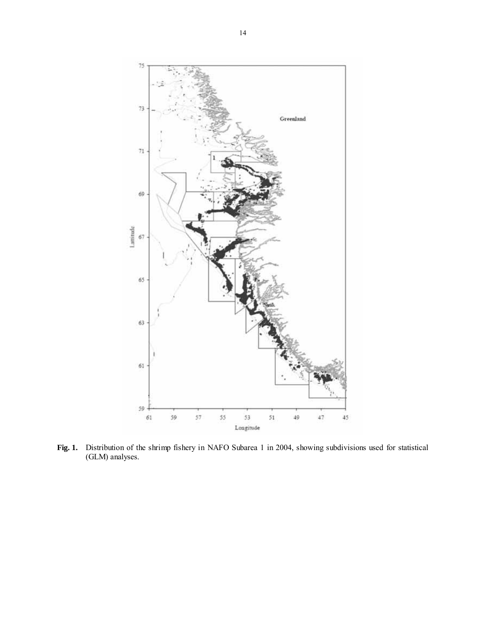

**Fig. 1.** Distribution of the shrimp fishery in NAFO Subarea 1 in 2004, showing subdivisions used for statistical (GLM) analyses.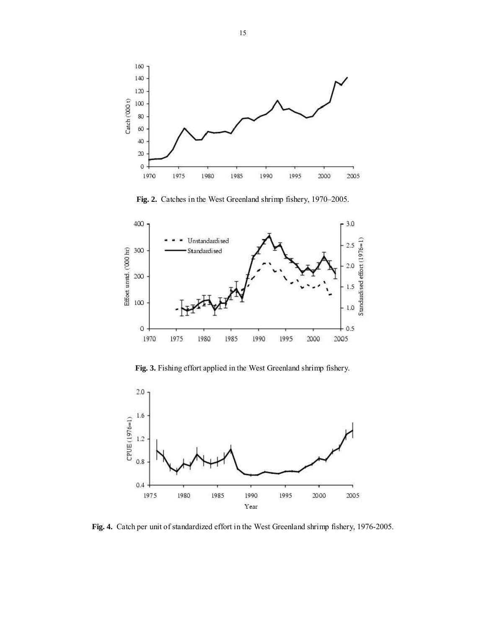

**Fig. 2.** Catches in the West Greenland shrimp fishery, 1970–2005.



**Fig. 3.** Fishing effort applied in the West Greenland shrimp fishery.



**Fig. 4.** Catch per unit of standardized effort in the West Greenland shrimp fishery, 1976-2005.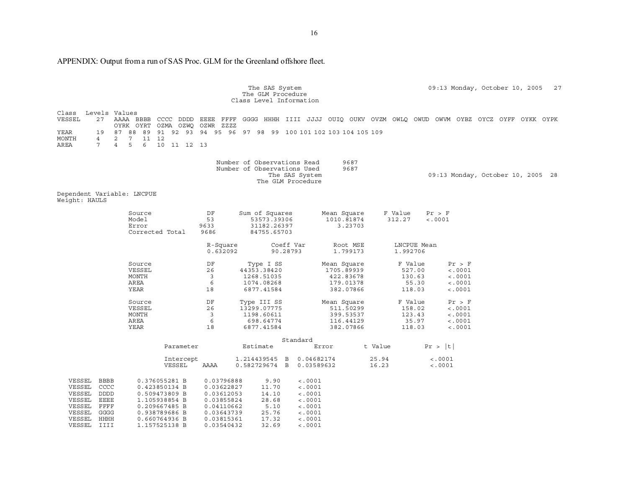APPENDIX: Output from a run of SAS Proc. GLM for the Greenland offshore fleet.

|                                                                                                                                                                                                                                                                                | The SAS System<br>The GLM Procedure<br>Class Level Information                                                                                                                     |                                                                                      |                                                                                                      | 27<br>09:13 Monday, October 10, 2005                                                                     |
|--------------------------------------------------------------------------------------------------------------------------------------------------------------------------------------------------------------------------------------------------------------------------------|------------------------------------------------------------------------------------------------------------------------------------------------------------------------------------|--------------------------------------------------------------------------------------|------------------------------------------------------------------------------------------------------|----------------------------------------------------------------------------------------------------------|
| Class<br>Levels Values<br>VESSEL<br>27<br>OYRK OYRT OZMA OZWQ OZWR ZZZZ<br>YEAR<br>19<br>87<br>88 89<br>MONTH<br>4<br>2<br>7<br>11 12<br>$7^{\circ}$<br>5<br>6<br>10 11 12 13<br>AREA<br>$\overline{4}$                                                                        | 91 92 93 94 95 96 97 98 99 100 101 102 103 104 105 109                                                                                                                             |                                                                                      |                                                                                                      | AAAA BBBB CCCC DDDD EEEE FFFF GGGG HHHH IIII JJJJ OUIQ OUKV OVZM OWLQ OWUD OWVM OYBZ OYCZ OYFF OYKK OYPK |
|                                                                                                                                                                                                                                                                                | Number of Observations Read<br>Number of Observations Used                                                                                                                         | 9687<br>9687<br>The SAS System<br>The GLM Procedure                                  |                                                                                                      | 09:13 Monday, October 10, 2005 28                                                                        |
| Dependent Variable: LNCPUE<br>Weight: HAULS                                                                                                                                                                                                                                    |                                                                                                                                                                                    |                                                                                      |                                                                                                      |                                                                                                          |
| Source<br>Model<br>Error<br>Corrected Total                                                                                                                                                                                                                                    | DF<br>Sum of Squares<br>53<br>53573.39306<br>9633<br>31182.26397<br>9686<br>84755.65703                                                                                            | Mean Square<br>1010.81874<br>3.23703                                                 | F Value<br>Pr > F<br>312.27<br>< .0001                                                               |                                                                                                          |
|                                                                                                                                                                                                                                                                                | R-Square<br>0.632092                                                                                                                                                               | Coeff Var<br>Root MSE<br>90.28793<br>1.799173                                        | LNCPUE Mean<br>1.992706                                                                              |                                                                                                          |
| Source<br>VESSEL<br>MONTH<br>AREA<br>YEAR                                                                                                                                                                                                                                      | DF<br>Type I SS<br>26<br>44353.38420<br>$\overline{3}$<br>1268.51035<br>6<br>1074.08268<br>18<br>6877.41584                                                                        | Mean Square<br>1705.89939<br>422.83678<br>179.01378<br>382.07866                     | F Value<br>Pr > F<br>< .0001<br>527.00<br>130.63<br>< .0001<br>55.30<br>< .0001<br>118.03<br>< .0001 |                                                                                                          |
| Source<br>VESSEL<br>MONTH<br>AREA<br>YEAR                                                                                                                                                                                                                                      | DF<br>Type III SS<br>26<br>13299.07775<br>3<br>1198.60611<br>6<br>698.64774<br>18<br>6877.41584                                                                                    | Mean Square<br>511.50299<br>399.53537<br>116.44129<br>382.07866                      | F Value<br>Pr > F<br>158.02<br>< .0001<br>123.43<br>< .0001<br>35.97<br>< .0001<br>118.03<br>< .0001 |                                                                                                          |
| Parameter                                                                                                                                                                                                                                                                      | Estimate                                                                                                                                                                           | Standard<br>Error                                                                    | t Value<br>Pr >  t                                                                                   |                                                                                                          |
| Intercept<br>VESSEL                                                                                                                                                                                                                                                            | 1.214439545 B<br>AAAA<br>0.582729674 B                                                                                                                                             | 0.04682174<br>0.03589632                                                             | 25.94<br>< .0001<br>16.23<br>< .0001                                                                 |                                                                                                          |
| VESSEL BBBB<br>0.376055281 B<br>VESSEL<br>CCCC<br>0.423850134 B<br>VESSEL<br>DDDD<br>0.509473809 B<br>VESSEL<br>EEEE<br>1.105938854 B<br>VESSEL<br>FFFF<br>0.209667485 B<br>VESSEL<br>GGGG<br>0.938789686 B<br>VESSEL<br>HHHH<br>0.660764936 B<br>VESSEL IIII<br>1.157525138 B | 0.03796888<br>9.90<br>0.03622827<br>11.70<br>0.03612053<br>14.10<br>0.03855824<br>28.68<br>5.10<br>0.04110662<br>25.76<br>0.03643739<br>0.03815361<br>17.32<br>0.03540432<br>32.69 | < .0001<br>< .0001<br>< .0001<br>< .0001<br>< .0001<br>< .0001<br>< .0001<br>< .0001 |                                                                                                      |                                                                                                          |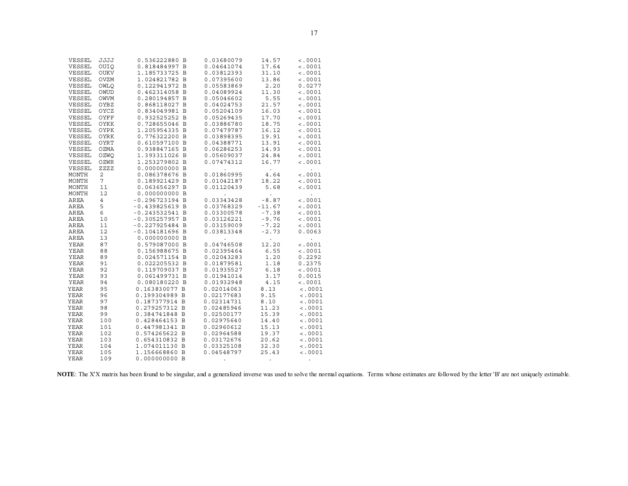| VESSEL         | JJJJ            | 0.536222880 B    | 0.03680079           | 14.57                | < .0001              |
|----------------|-----------------|------------------|----------------------|----------------------|----------------------|
| VESSEL         | <b>OUIO</b>     | 0.818484997 B    | 0.04641074           | 17.64                | < .0001              |
| VESSEL         | OUKV            | 1.185733725 B    | 0.03812393           | 31.10                | < .0001              |
| VESSEL         | OVZM            | 1.024821782 B    | 0.07395600           | 13.86                | < .0001              |
| VESSEL         | OWLO            | 0.122941972 B    | 0.05583869           | 2.20                 | 0.0277               |
| VESSEL         | OWUD            | 0.462314058 B    | 0.04089924           | 11.30                | < .0001              |
| VESSEL         | OWVM            | 0.280194857 B    | 0.05046602           |                      | < .0001              |
|                |                 |                  |                      | 5.55                 |                      |
| VESSEL         | OYBZ            | 0.868118027 B    | 0.04024753           | 21.57                | < .0001              |
| VESSEL         | OYCZ            | 0.834049981 B    | 0.05204109           | 16.03                | < .0001              |
| VESSEL         | OYFF            | 0.932525252 B    | 0.05269435           | 17.70                | < .0001              |
| VESSEL         | OYKK            | 0.728655046 B    | 0.03886780           | 18.75                | < .0001              |
| VESSEL         | OYPK            | 1.205954335 B    | 0.07479787           | 16.12                | < .0001              |
| VESSEL         | OYRK            | 0.776322200 B    | 0.03898395           | 19.91                | < .0001              |
| VESSEL         | OYRT            | 0.610597100 B    | 0.04388771           | 13.91                | < .0001              |
| VESSEL         | OZMA            | 0.938847165 B    | 0.06286253           | 14.93                | < .0001              |
| VESSEL         | OZWO            | 1.393311026 B    | 0.05609037           | 24.84                | < .0001              |
| ${\tt VESSEL}$ | OZWR            | 1.253279802 B    | 0.07474312           | 16.77                | < .0001              |
| VESSEL         | ZZZZ            | 0.000000000 B    |                      |                      |                      |
| MONTH          | $\overline{a}$  | 0.086378676 B    | 0.01860995           | 4.64                 | < .0001              |
| MONTH          | $7\overline{ }$ | 0.189921429 B    | 0.01042187           | 18.22                | < .0001              |
| MONTH          | 11              | 0.063656297 B    | 0.01120439           | 5.68                 | < .0001              |
| MONTH          | 12              | 0.000000000 B    | $\ddot{\phantom{0}}$ | $\ddot{\phantom{0}}$ | $\ddot{\phantom{a}}$ |
| AREA           | $\overline{4}$  | $-0.296723194 B$ | 0.03343428           | $-8.87$              | < .0001              |
| AREA           | 5               | $-0.439825619 B$ | 0.03768329           | $-11.67$             | < .0001              |
| AREA           | 6               | $-0.243532541$ B | 0.03300578           | $-7.38$              | < .0001              |
| AREA           | 10              | $-0.305257957 B$ | 0.03126221           | $-9.76$              | < .0001              |
| AREA           | 11              | $-0.227925484$ B | 0.03159009           | $-7.22$              | < .0001              |
| AREA           | 12              | $-0.104181696$ B | 0.03813348           | $-2.73$              | 0.0063               |
| AREA           | 13              | 0.000000000 B    |                      |                      |                      |
| <b>YEAR</b>    | 87              | 0.579087000 B    | 0.04746508           | 12.20                | < .0001              |
| YEAR           | 88              | 0.156988675 B    | 0.02395464           | 6.55                 | < .0001              |
| YEAR           | 89              | 0.024571154 B    | 0.02043283           | 1.20                 | 0.2292               |
| YEAR           | 91              | 0.022205532 B    | 0.01879581           | 1.18                 | 0.2375               |
| YEAR           | 92              | 0.119709037 B    | 0.01935527           | 6.18                 | < .0001              |
|                |                 | 0.061499731 B    |                      | 3.17                 |                      |
| YEAR           | 93              |                  | 0.01941014           |                      | 0.0015               |
| YEAR           | 94              | 0.080180220 B    | 0.01932948           | 4.15                 | < .0001              |
| <b>YEAR</b>    | 95              | 0.163830077 B    | 0.02014063           | 8.13                 | < .0001              |
| YEAR           | 96              | 0.199304989 B    | 0.02177683           | 9.15                 | < .0001              |
| <b>YEAR</b>    | 97              | 0.187377914 B    | 0.02314731           | 8.10                 | < .0001              |
| YEAR           | 98              | 0.279257312 B    | 0.02485946           | 11.23                | < .0001              |
| YEAR           | 99              | 0.384741848 B    | 0.02500177           | 15.39                | < .0001              |
| <b>YEAR</b>    | 100             | 0.428464153 B    | 0.02975640           | 14.40                | < .0001              |
| YEAR           | 101             | 0.447981341 B    | 0.02960612           | 15.13                | < .0001              |
| <b>YEAR</b>    | 102             | 0.574265622 B    | 0.02964588           | 19.37                | < .0001              |
| YEAR           | 103             | 0.654310832 B    | 0.03172676           | 20.62                | < .0001              |
| <b>YEAR</b>    | 104             | 1.074011130 B    | 0.03325108           | 32.30                | < .0001              |
| <b>YEAR</b>    | 105             | 1.156668860 B    | 0.04548797           | 25.43                | < .0001              |
| <b>YEAR</b>    | 109             | 0.000000000 B    |                      |                      |                      |

NOTE: The X'X matrix has been found to be singular, and a generalized inverse was used to solve the normal equations. Terms whose estimates are followed by the letter 'B' are not uniquely estimable.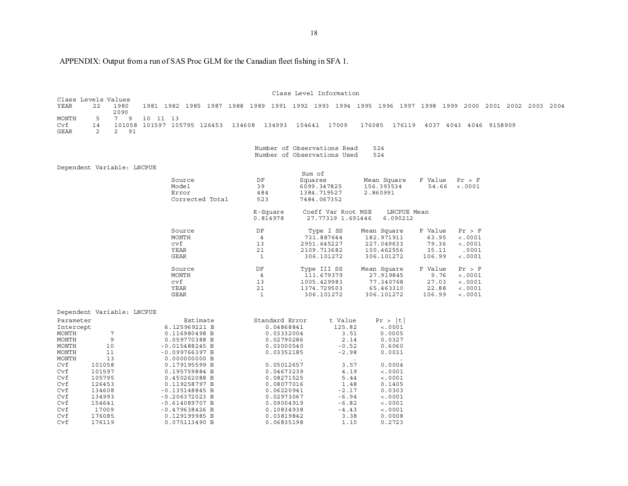APPENDIX: Output from a run of SAS Proc GLM for the Canadian fleet fishing in SFA 1.

 Class Level Information Class Levels Values 22 1980 YEAR 22 1980 1981 1982 1985 1987 1988 1989 1991 1992 1993 1994 1995 1996 1997 1998 1999 2000 2001 2002 2003 2004 2090 MONTH 5 7 9 10 11 13 Cvf 14 101058 101597 105795 126453 134608 134993 154641 17009 176085 176119 4037 4043 4046 9158909 GEAR 2 2 91 Number of Observations Read 524 524 Number of Observations Used Dependent Variable: LNCPUE Sum of Squares Source DF Squares Mean Square F Value Pr > F  $54.66$  <.0001 Error 484 1384.719527 2.860991 Corrected Total 523 7484.067352 R-Square Coeff Var Root MSE LNCPUE Mean<br>0.814978 27.77319 1.691446 6.090212 27.77319 1.691446 6.090212 Source DF Type I SS Mean Square F Value Pr > F  $4$   $73\overline{1}.887644$   $182.9\overline{7}1911$ cvf 13 2951.645227 227.049633 79.36 YEAR 21 2109.713682 100.462556 35.11 .0001 GEAR 1 306.101272 306.101272 106.99 <.0001 Source DF Type III SS Mean Square F Value Pr > F MONTH 4 111.679379 27.919845 9.76 <.0001 cvf 13 1005.429983 77.340768 27.03 <.0001 YEAR 21 1374.729503 65.463310 22.88 GEAR 1 306.101272 306.101272 106.99 <.0001 Dependent Variable: LNCPUE Parameter Estimate Standard Error t Value Pr > |t| Intercept 6.125969221 B 0.04868841 125.82 <.0001 MONTH 7 0.116980498 B 0.03332004 3.51 MONTH 9 0.059770388 B 0.02790286 2.14 MONTH 10 -0.015488245 B 0.03000540 -0.52 0.6060  $0.0031$ MONTH 11 -0.099766397 B 0.03352185 -2.98 MONTH 13 0.000000000 B  $0.0004$ Cvf 101058 0.179195599 B 0.05012657 3.57  $< 0.001$ Cvf 101597 0.195759884 B 0.04673239 4.19  $Cvf$  105795 0.450262088 B 0.08271525 5.44 Cvf 126453 0.119258797 B 0.08077016 1.48 0.1405 0.0303  $Cvf$  134608 -0.135148845 B 0.06220941 -2.17 Cvf 134993 -0.206372023 B 0.02973067 -6.94 Cvf 154641 -0.614089707 B 0.09004919 -6.82 <.0001 Cvf 17009 -0.479638426 B 0.10834938 -4.43 <.0001 Cvf 176085 0.129199985 B 0.03819842 3.38 Cvf 176119 0.075113490 B 0.06835198 1.10 0.2723